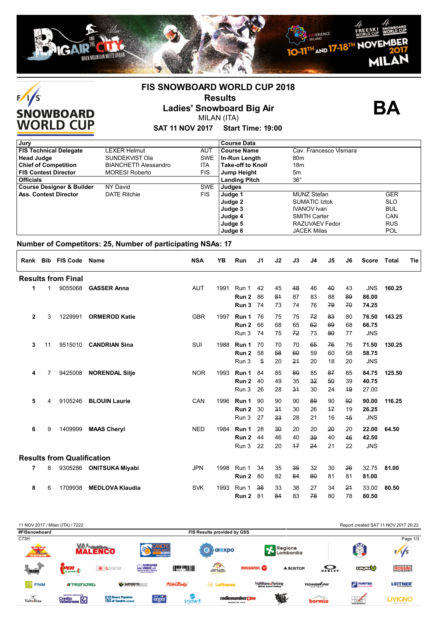



## **FIS SNOWBOARD WORLD CUP 2018 Results**

### **Ladies' Snowboard Big Air** MILAN (ITA)

**BA**

**SAT 11 NOV 2017 Start Time: 19:00**

| Jury                                 |                              |            | <b>Course Data</b>       |                        |            |
|--------------------------------------|------------------------------|------------|--------------------------|------------------------|------------|
| <b>FIS Technical Delegate</b>        | <b>LEXER Helmut</b>          | <b>AUT</b> | <b>Course Name</b>       | Cav. Francesco Vismara |            |
| <b>Head Judge</b>                    | SUNDEKVIST Ola               | <b>SWE</b> | In-Run Length            | 80 <sub>m</sub>        |            |
| <b>Chief of Competition</b>          | <b>BIANCHETTI Alessandro</b> | ITA        | <b>Take-off to Knoll</b> | 18 <sub>m</sub>        |            |
| <b>FIS Contest Director</b>          | <b>MORESI Roberto</b>        | <b>FIS</b> | Jump Height              | 5m                     |            |
| <b>Officials</b>                     |                              |            | <b>Landing Pitch</b>     | $36^{\circ}$           |            |
| <b>Course Designer &amp; Builder</b> | NY David                     | <b>SWE</b> | Judges                   |                        |            |
| <b>Ass. Contest Director</b>         | <b>DATE Ritchie</b>          | <b>FIS</b> | Judge 1                  | <b>MUNZ Stefan</b>     | <b>GER</b> |
|                                      |                              |            | Judge 2                  | <b>SUMATIC Iztok</b>   | <b>SLO</b> |
|                                      |                              |            | Judge 3                  | <b>IVANOV</b> Ivan     | <b>BUL</b> |
|                                      |                              |            | Judge 4                  | <b>SMITH Carter</b>    | CAN        |
|                                      |                              |            | Judge 5                  | RAZUVAEV Fedor         | <b>RUS</b> |
|                                      |                              |            | Judge 6                  | <b>JACEK Milas</b>     | <b>POL</b> |

### **Number of Competitors: 25, Number of participating NSAs: 17**

| Rank                              |    | <b>Bib FIS Code</b> | <b>Name</b>             | <b>NSA</b> | <b>YB</b> | Run   | J1 | J2 | J3 | J <sub>4</sub> | J5   | J6 | <b>Score</b> | <b>Total</b> | Tie |
|-----------------------------------|----|---------------------|-------------------------|------------|-----------|-------|----|----|----|----------------|------|----|--------------|--------------|-----|
| <b>Results from Final</b>         |    |                     |                         |            |           |       |    |    |    |                |      |    |              |              |     |
| 1                                 | 1  | 9055068             | <b>GASSER Anna</b>      | <b>AUT</b> | 1991      | Run 1 | 42 | 45 | 48 | 46             | 40   | 43 | <b>JNS</b>   | 160.25       |     |
|                                   |    |                     |                         |            |           | Run 2 | 86 | 84 | 87 | 83             | 88   | 89 | 86.00        |              |     |
|                                   |    |                     |                         |            |           | Run 3 | 74 | 73 | 74 | 76             | 79   | 70 | 74.25        |              |     |
| $\mathbf{2}$                      | 3  | 1229991             | <b>ORMEROD Katie</b>    | <b>GBR</b> | 1997      | Run 1 | 76 | 75 | 75 | 72             | 83   | 80 | 76.50        | 143.25       |     |
|                                   |    |                     |                         |            |           | Run 2 | 66 | 68 | 65 | 62             | 69   | 68 | 66.75        |              |     |
|                                   |    |                     |                         |            |           | Run 3 | 74 | 75 | 72 | 73             | 80   | 77 | <b>JNS</b>   |              |     |
| 3                                 | 11 | 9515010             | <b>CANDRIAN Sina</b>    | SUI        | 1988      | Run 1 | 70 | 70 | 70 | 65             | 76   | 76 | 71.50        | 130.25       |     |
|                                   |    |                     |                         |            |           | Run 2 | 58 | 58 | 60 | 59             | 60   | 58 | 58.75        |              |     |
|                                   |    |                     |                         |            |           | Run 3 | 5  | 20 | 24 | 20             | 18   | 20 | <b>JNS</b>   |              |     |
| 4                                 | 7  | 9425008             | <b>NORENDAL Silje</b>   | <b>NOR</b> | 1993      | Run 1 | 84 | 85 | 80 | 85             | 87   | 85 | 84.75        | 125.50       |     |
|                                   |    |                     |                         |            |           | Run 2 | 40 | 49 | 35 | 32             | 50   | 39 | 40.75        |              |     |
|                                   |    |                     |                         |            |           | Run 3 | 26 | 28 | 34 | 30             | 24   | 49 | 27.00        |              |     |
| 5                                 | 4  | 9105246             | <b>BLOUIN Laurie</b>    | CAN        | 1996      | Run 1 | 90 | 90 | 90 | 89             | 90   | 92 | 90.00        | 116.25       |     |
|                                   |    |                     |                         |            |           | Run 2 | 30 | 34 | 30 | 26             | $+7$ | 19 | 26.25        |              |     |
|                                   |    |                     |                         |            |           | Run 3 | 27 | 33 | 28 | 21             | 16   | 45 | <b>JNS</b>   |              |     |
| 6                                 | 9  | 1409999             | <b>MAAS Cheryl</b>      | <b>NED</b> | 1984      | Run 1 | 28 | 30 | 20 | 20             | 20   | 20 | 22.00        | 64.50        |     |
|                                   |    |                     |                         |            |           | Run 2 | 44 | 46 | 40 | 39             | 40   | 46 | 42.50        |              |     |
|                                   |    |                     |                         |            |           | Run 3 | 22 | 20 | 17 | 24             | 21   | 22 | <b>JNS</b>   |              |     |
| <b>Results from Qualification</b> |    |                     |                         |            |           |       |    |    |    |                |      |    |              |              |     |
| 7                                 | 8  |                     | 9305286 ONITSUKA Miyabi | <b>JPN</b> | 1998      | Run 1 | 34 | 35 | 35 | 32             | 30   | 26 | 32.75        | 81.00        |     |
|                                   |    |                     |                         |            |           | Run 2 | 80 | 82 | 84 | 80             | 81   | 81 | 81.00        |              |     |
| 8                                 | 6  | 1709938             | <b>MEDLOVA Klaudia</b>  | <b>SVK</b> | 1993      | Run 1 | 38 | 33 | 38 | 27             | 34   | 24 | 33.00        | 80.50        |     |
|                                   |    |                     |                         |            |           | Run 2 | 81 | 84 | 83 | 78             | 80   | 78 | 80.50        |              |     |

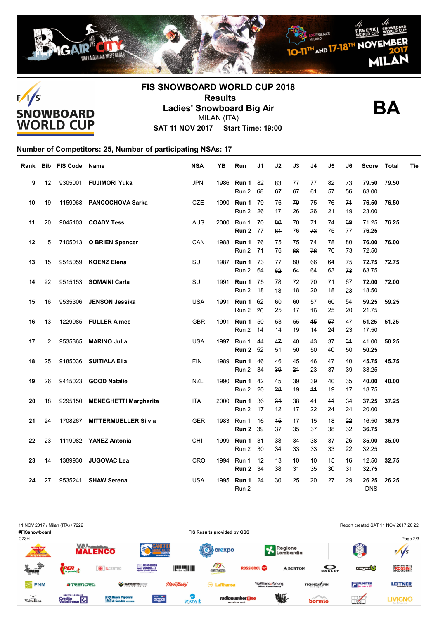



# **FIS SNOWBOARD WORLD CUP 2018 Results Ladies' Snowboard Big Air** MILAN (ITA)



**SAT 11 NOV 2017 Start Time: 19:00**

### **Number of Competitors: 25, Number of participating NSAs: 17**

|    |                | Rank Bib FIS Code Name |                               | <b>NSA</b> | YB   | Run                        | J1       | J2         | J3       | J4       | J5              | J6       | Score Total         |       | Tie |
|----|----------------|------------------------|-------------------------------|------------|------|----------------------------|----------|------------|----------|----------|-----------------|----------|---------------------|-------|-----|
| 9  | 12             |                        | 9305001 FUJIMORI Yuka         | <b>JPN</b> |      | 1986 <b>Run 1</b><br>Run 2 | 82<br>68 | 83<br>67   | 77<br>67 | 77<br>61 | 82<br>57        | 73<br>56 | 79.50<br>63.00      | 79.50 |     |
| 10 | 19             |                        | 1159968 PANCOCHOVA Sarka      | <b>CZE</b> |      | 1990 Run 1<br>Run 2        | 79<br>26 | 76<br>17   | 79<br>26 | 75<br>26 | 76<br>21        | 74<br>19 | 76.50<br>23.00      | 76.50 |     |
| 11 | 20             |                        | 9045103 COADY Tess            | <b>AUS</b> | 2000 | Run 1<br>Run 2             | 70<br>77 | 80<br>84   | 70<br>76 | 71<br>73 | 74<br>75        | 69<br>77 | 71.25<br>76.25      | 76.25 |     |
| 12 | 5              |                        | 7105013 O BRIEN Spencer       | CAN        | 1988 | Run 1<br>Run 2             | 76<br>71 | 75<br>76   | 75<br>68 | 74<br>76 | 78<br>70        | 80<br>73 | 76.00<br>72.50      | 76.00 |     |
| 13 | 15             |                        | 9515059 KOENZ Elena           | SUI        |      | 1987 Run 1<br>Run 2        | 73<br>64 | 77<br>62   | 80<br>64 | 66<br>64 | 64<br>63        | 75<br>73 | 72.75<br>63.75      | 72.75 |     |
| 14 | 22             |                        | 9515153 SOMAINI Carla         | SUI        |      | 1991 <b>Run 1</b><br>Run 2 | 75<br>18 | 78<br>48   | 72<br>18 | 70<br>20 | 71<br>18        | 67<br>23 | 72.00<br>18.50      | 72.00 |     |
| 15 | 16             | 9535306                | <b>JENSON Jessika</b>         | <b>USA</b> | 1991 | Run 1<br>Run 2             | 62<br>26 | 60<br>25   | 60<br>17 | 57<br>46 | 60<br>25        | 54<br>20 | 59.25<br>21.75      | 59.25 |     |
| 16 | 13             |                        | 1229985 FULLER Aimee          | <b>GBR</b> | 1991 | Run 1<br>Run 2             | 50<br>44 | 53<br>14   | 55<br>19 | 45<br>14 | 57<br>24        | 47<br>23 | 51.25<br>17.50      | 51.25 |     |
| 17 | $\overline{2}$ | 9535365                | <b>MARINO Julia</b>           | <b>USA</b> |      | 1997 Run 1<br>Run 2        | 44<br>52 | 47<br>51   | 40<br>50 | 43<br>50 | 37<br>$4\theta$ | 34<br>50 | 41.00<br>50.25      | 50.25 |     |
| 18 | 25             |                        | 9185036 SUITIALA Ella         | <b>FIN</b> | 1989 | Run 1<br>Run 2             | 46<br>34 | 46<br>39   | 45<br>21 | 46<br>23 | 47<br>37        | 40<br>39 | 45.75<br>33.25      | 45.75 |     |
| 19 | 26             |                        | 9415023 <b>GOOD Natalie</b>   | <b>NZL</b> | 1990 | Run 1<br>Run 2             | 42<br>20 | 45<br>28   | 39<br>19 | 39<br>44 | 40<br>19        | 35<br>17 | 40.00<br>18.75      | 40.00 |     |
| 20 | 18             |                        | 9295150 MENEGHETTI Margherita | <b>ITA</b> | 2000 | Run 1<br>Run 2             | 36<br>17 | 34<br>$+2$ | 38<br>17 | 41<br>22 | 41<br>24        | 34<br>24 | 37.25<br>20.00      | 37.25 |     |
| 21 | 24             | 1708267                | <b>MITTERMUELLER Silvia</b>   | <b>GER</b> |      | 1983 Run 1<br>Run 2        | 16<br>39 | 45<br>37   | 17<br>35 | 15<br>37 | 18<br>38        | 22<br>32 | 16.50<br>36.75      | 36.75 |     |
| 22 | 23             |                        | 1119982 YANEZ Antonia         | CHI        | 1999 | Run 1<br>Run 2             | 31<br>30 | 38<br>34   | 34<br>33 | 38<br>33 | 37<br>33        | 26<br>22 | 35.00<br>32.25      | 35.00 |     |
| 23 | 14             |                        | 1389930 JUGOVAC Lea           | CRO        | 1994 | Run 1<br>Run 2             | 12<br>34 | 13<br>38   | 40<br>31 | 10<br>35 | 15<br>30        | 46<br>31 | 12.50<br>32.75      | 32.75 |     |
| 24 | 27             | 9535241                | <b>SHAW Serena</b>            | <b>USA</b> | 1995 | Run 1<br>Run 2             | 24       | 30         | 25       | 20       | 27              | 29       | 26.25<br><b>DNS</b> | 26.25 |     |